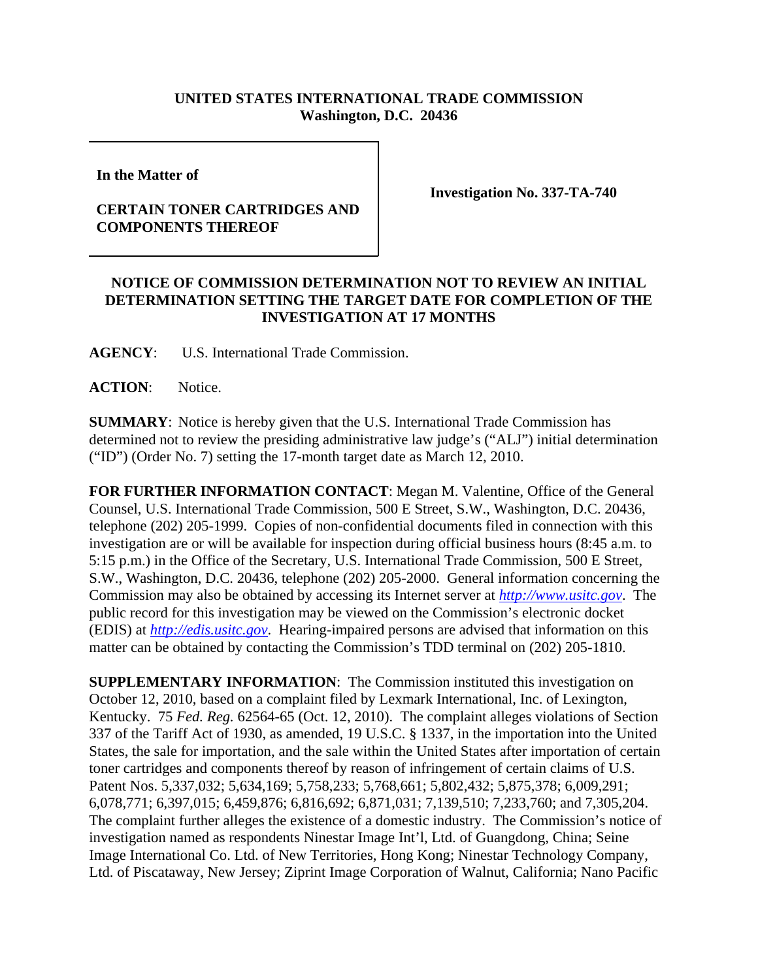## **UNITED STATES INTERNATIONAL TRADE COMMISSION Washington, D.C. 20436**

**In the Matter of** 

## **CERTAIN TONER CARTRIDGES AND COMPONENTS THEREOF**

**Investigation No. 337-TA-740**

## **NOTICE OF COMMISSION DETERMINATION NOT TO REVIEW AN INITIAL DETERMINATION SETTING THE TARGET DATE FOR COMPLETION OF THE INVESTIGATION AT 17 MONTHS**

**AGENCY**: U.S. International Trade Commission.

ACTION: Notice.

**SUMMARY**: Notice is hereby given that the U.S. International Trade Commission has determined not to review the presiding administrative law judge's ("ALJ") initial determination ("ID") (Order No. 7) setting the 17-month target date as March 12, 2010.

**FOR FURTHER INFORMATION CONTACT**: Megan M. Valentine, Office of the General Counsel, U.S. International Trade Commission, 500 E Street, S.W., Washington, D.C. 20436, telephone (202) 205-1999. Copies of non-confidential documents filed in connection with this investigation are or will be available for inspection during official business hours (8:45 a.m. to 5:15 p.m.) in the Office of the Secretary, U.S. International Trade Commission, 500 E Street, S.W., Washington, D.C. 20436, telephone (202) 205-2000. General information concerning the Commission may also be obtained by accessing its Internet server at *http://www.usitc.gov*. The public record for this investigation may be viewed on the Commission's electronic docket (EDIS) at *http://edis.usitc.gov*. Hearing-impaired persons are advised that information on this matter can be obtained by contacting the Commission's TDD terminal on (202) 205-1810.

**SUPPLEMENTARY INFORMATION:** The Commission instituted this investigation on October 12, 2010, based on a complaint filed by Lexmark International, Inc. of Lexington, Kentucky. 75 *Fed. Reg.* 62564-65 (Oct. 12, 2010). The complaint alleges violations of Section 337 of the Tariff Act of 1930, as amended, 19 U.S.C. § 1337, in the importation into the United States, the sale for importation, and the sale within the United States after importation of certain toner cartridges and components thereof by reason of infringement of certain claims of U.S. Patent Nos. 5,337,032; 5,634,169; 5,758,233; 5,768,661; 5,802,432; 5,875,378; 6,009,291; 6,078,771; 6,397,015; 6,459,876; 6,816,692; 6,871,031; 7,139,510; 7,233,760; and 7,305,204. The complaint further alleges the existence of a domestic industry. The Commission's notice of investigation named as respondents Ninestar Image Int'l, Ltd. of Guangdong, China; Seine Image International Co. Ltd. of New Territories, Hong Kong; Ninestar Technology Company, Ltd. of Piscataway, New Jersey; Ziprint Image Corporation of Walnut, California; Nano Pacific